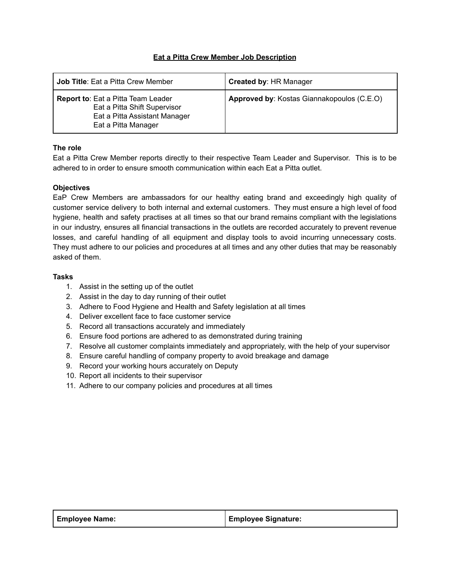## **Eat a Pitta Crew Member Job Description**

| <b>Job Title:</b> Eat a Pitta Crew Member                                                                                         | <b>Created by: HR Manager</b>              |
|-----------------------------------------------------------------------------------------------------------------------------------|--------------------------------------------|
| <b>Report to:</b> Eat a Pitta Team Leader<br>Eat a Pitta Shift Supervisor<br>Eat a Pitta Assistant Manager<br>Eat a Pitta Manager | Approved by: Kostas Giannakopoulos (C.E.O) |

## **The role**

Eat a Pitta Crew Member reports directly to their respective Team Leader and Supervisor. This is to be adhered to in order to ensure smooth communication within each Eat a Pitta outlet.

## **Objectives**

EaP Crew Members are ambassadors for our healthy eating brand and exceedingly high quality of customer service delivery to both internal and external customers. They must ensure a high level of food hygiene, health and safety practises at all times so that our brand remains compliant with the legislations in our industry, ensures all financial transactions in the outlets are recorded accurately to prevent revenue losses, and careful handling of all equipment and display tools to avoid incurring unnecessary costs. They must adhere to our policies and procedures at all times and any other duties that may be reasonably asked of them.

## **Tasks**

- 1. Assist in the setting up of the outlet
- 2. Assist in the day to day running of their outlet
- 3. Adhere to Food Hygiene and Health and Safety legislation at all times
- 4. Deliver excellent face to face customer service
- 5. Record all transactions accurately and immediately
- 6. Ensure food portions are adhered to as demonstrated during training
- 7. Resolve all customer complaints immediately and appropriately, with the help of your supervisor
- 8. Ensure careful handling of company property to avoid breakage and damage
- 9. Record your working hours accurately on Deputy
- 10. Report all incidents to their supervisor
- 11. Adhere to our company policies and procedures at all times

| <b>Employee Name:</b> | <b>Employee Signature:</b> |
|-----------------------|----------------------------|
|                       |                            |